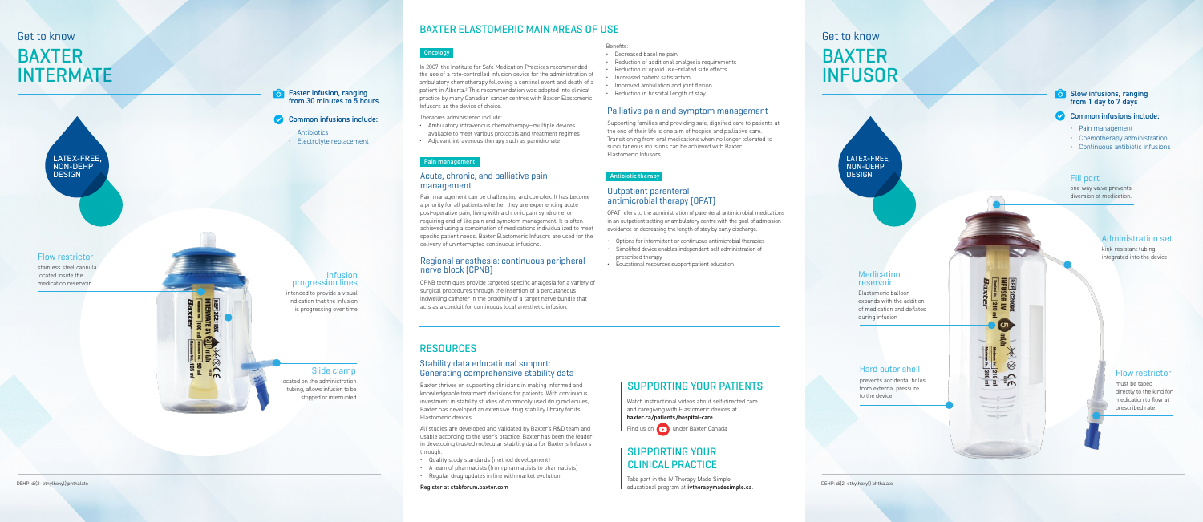# BAXTER ELASTOMERIC MAIN AREAS OF USE

#### **Oncology**

# BAXTER INTERMATE

# SUPPORTING YOUR PATIENTS

# SUPPORTING YOUR CLINICAL PRACTICE

In 2007, the Institute for Safe Medication Practices recommended the use of a rate-controlled infusion device for the administration of ambulatory chemotherapy following a sentinel event and death of a patient in Alberta.<sup>2</sup> This recommendation was adopted into clinical practice by many Canadian cancer centres with Baxter Elastomeric Infusors as the device of choice.

Therapies administered include:

- Ambulatory intravenous chemotherapy—multiple devices available to meet various protocols and treatment regimes
- Adjuvant intravenous therapy such as pamidronate

Faster infusion, ranging from 30 minutes to 5 hours

#### Common infusions include:

## Get to know

Pain management can be challenging and complex. It has become a priority for all patients whether they are experiencing acute post-operative pain, living with a chronic pain syndrome, or requiring end-of-life pain and symptom management. It is often achieved using a combination of medications individualized to meet specific patient needs. Baxter Elastomeric Infusors are used for the delivery of uninterrupted continuous infusions.

#### Acute, chronic, and palliative pain management

OPAT refers to the administration of parenteral antimicrobial medications in an outpatient setting or ambulatory centre with the goal of admission avoidance or decreasing the length of stay by early discharge.

- Options for intermittent or continuous antimicrobial therapies
- Simplified device enables independent self-administration of prescribed therapy
- Educational resources support patient education

### Outpatient parenteral antimicrobial therapy (OPAT)

Watch instructional videos about self-directed care and caregiving with Elastomeric devices at **baxter.ca/patients/hospital-care** .



Find us on **D** under Baxter Canada

Take part in the IV Therapy Made Simple educational program at **ivtherapymadesimple.ca** .

Supporting families and providing safe, dignified care to patients at the end of their life is one aim of hospice and palliative care. Transitioning from oral medications when no longer tolerated to subcutaneous infusions can be achieved with Baxter Elastomeric Infusors.

### Palliative pain and symptom management

## RESOURCES

Baxter thrives on supporting clinicians in making informed and knowledgeable treatment decisions for patients. With continuous investment in stability studies of commonly used drug molecules, Baxter has developed an extensive drug stability library for its Elastomeric devices.

All studies are developed and validated by Baxter's R&D team and usable according to the user's practice. Baxter has been the leader in developing trusted molecular stability data for Baxter's Infusors through:

- Quality study standards (method development)
- A team of pharmacists (from pharmacists to pharmacists)
- Regular drug updates in line with market evolution
- Register at stabforum.baxter.com

#### Stability data educational support: Generating comprehensive stability data

#### Pain management

#### Antibiotic therapy

- Antibiotics
- Electrolyte replacement

# BAXTER INFUSOR Get to know



DEHP: di(2- ethylhexyl) phthalate



intended to provide a visual indication that the infusion is progressing over time



### Infusion progression lines

located on the administration tubing, allows infusion to be stopped or interrupted

### Slide clamp

Benefits:

- Decreased baseline pain
- Reduction of additional analgesia requirements
- Reduction of opioid use –related side effects
- Increased patient satisfaction
- Improved ambulation and joint flexion
- Reduction in hospital length of stay

CPNB techniques provide targeted specific analgesia for a variety of surgical procedures through the insertion of a percutaneous indwelling catheter in the proximity of a target nerve bundle that acts as a conduit for continuous local anesthetic infusion.

#### Regional anesthesia: continuous peripheral nerve block (CPNB)